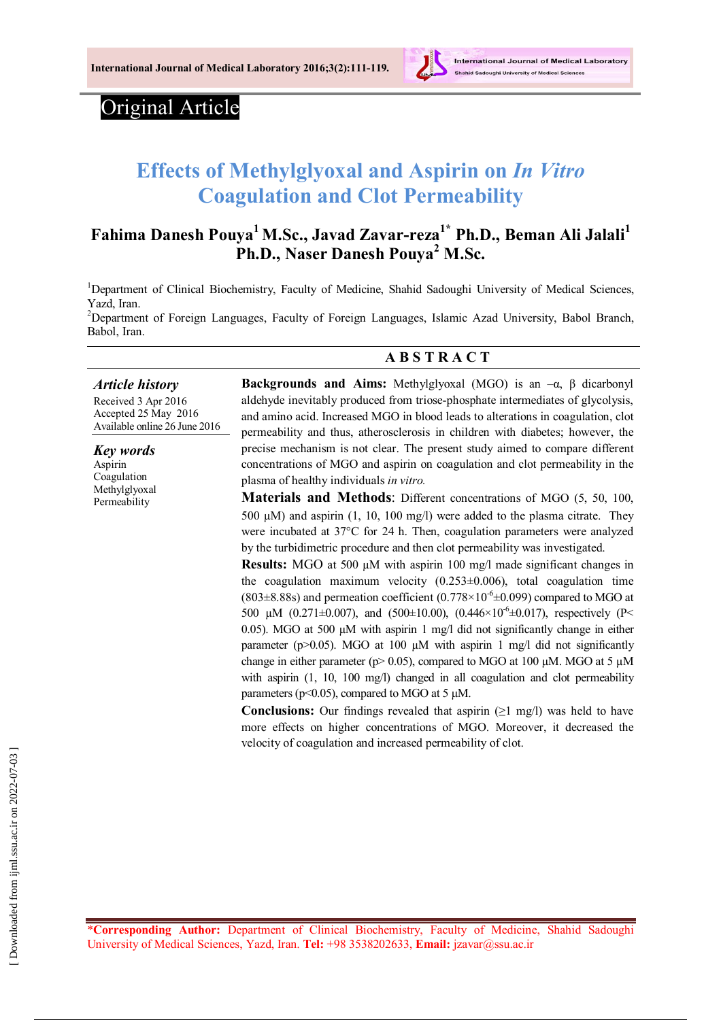

## Original Article

# **Effects of Methylglyoxal and Aspirin on** *In Vitro* **Coagulation and Clot Permeability**

## **Fahima Danesh Pouya<sup>1</sup> M.Sc., Javad Zavar-reza1\* Ph.D., Beman Ali Jalali<sup>1</sup> Ph.D., Naser Danesh Pouya<sup>2</sup> M.Sc.**

<sup>1</sup>Department of Clinical Biochemistry, Faculty of Medicine, Shahid Sadoughi University of Medical Sciences, Yazd, Iran.

<sup>2</sup>Department of Foreign Languages, Faculty of Foreign Languages, Islamic Azad University, Babol Branch, Babol, Iran.

#### **A B S T R A C T**

#### *Article history*

Received 3 Apr 2016 Accepted 25 May 2016 Available online 26 June 2016

*Key words* Aspirin Coagulation Methylglyoxal Permeability

**Backgrounds and Aims:** Methylglyoxal (MGO) is an –α, β dicarbonyl aldehyde inevitably produced from triose-phosphate intermediates of glycolysis, and amino acid. Increased MGO in blood leads to alterations in coagulation, clot permeability and thus, atherosclerosis in children with diabetes; however, the precise mechanism is not clear. The present study aimed to compare different concentrations of MGO and aspirin on coagulation and clot permeability in the plasma of healthy individuals *in vitro.*

**Materials and Methods**: Different concentrations of MGO (5, 50, 100, 500 µM) and aspirin (1, 10, 100 mg/l) were added to the plasma citrate. They were incubated at 37°C for 24 h. Then, coagulation parameters were analyzed by the turbidimetric procedure and then clot permeability was investigated.

**Results:** MGO at 500 µM with aspirin 100 mg/l made significant changes in the coagulation maximum velocity  $(0.253\pm0.006)$ , total coagulation time (803 $\pm$ 8.88s) and permeation coefficient (0.778 $\times$ 10<sup>-6</sup> $\pm$ 0.099) compared to MGO at 500 µM (0.271 $\pm$ 0.007), and (500 $\pm$ 10.00), (0.446×10<sup>-6</sup> $\pm$ 0.017), respectively (P< 0.05). MGO at 500  $\mu$ M with aspirin 1 mg/l did not significantly change in either parameter ( $p > 0.05$ ). MGO at 100  $\mu$ M with aspirin 1 mg/l did not significantly change in either parameter ( $p > 0.05$ ), compared to MGO at 100 µM. MGO at 5 µM with aspirin  $(1, 10, 100 \text{ mg/l})$  changed in all coagulation and clot permeability parameters ( $p$ <0.05), compared to MGO at 5  $\mu$ M.

**Conclusions:** Our findings revealed that aspirin  $(\geq 1 \text{ mg/l})$  was held to have more effects on higher concentrations of MGO. Moreover, it decreased the velocity of coagulation and increased permeability of clot.

\***Corresponding Author:** Department of Clinical Biochemistry, Faculty of Medicine, Shahid Sadoughi University of Medical Sciences, Yazd, Iran. **Tel:** +98 3538202633, **Email:** jzavar@ssu.ac.ir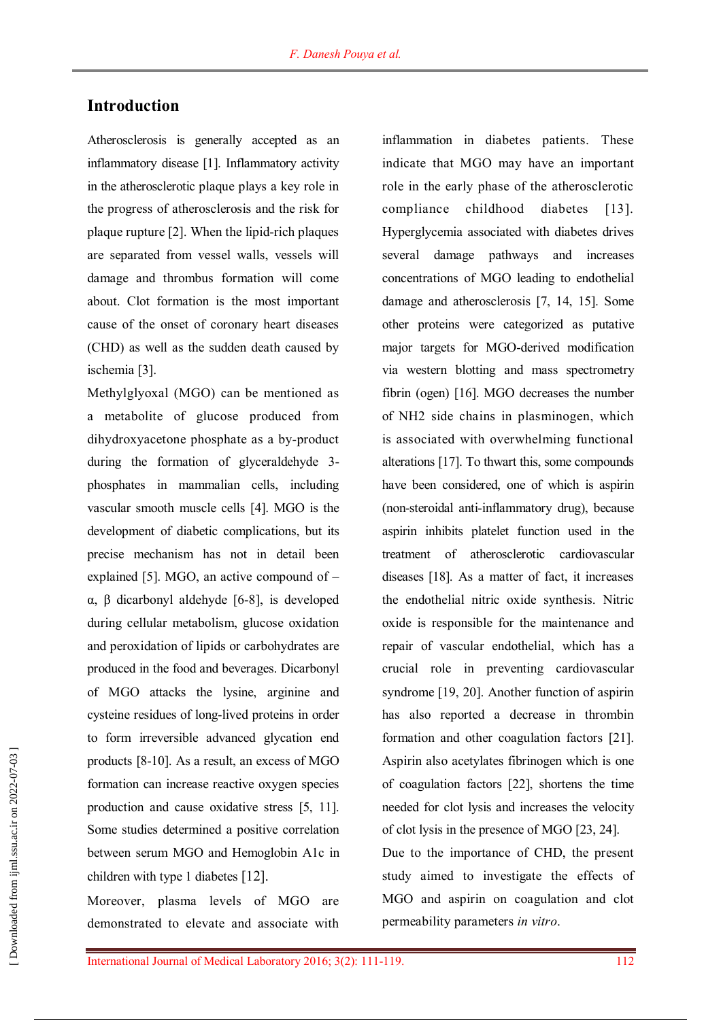## **Introduction**

Atherosclerosis is generally accepted as an inflammatory disease [1]. Inflammatory activity in the atherosclerotic plaque plays a key role in the progress of atherosclerosis and the risk for plaque rupture [2]. When the lipid-rich plaques are separated from vessel walls, vessels will damage and thrombus formation will come about. Clot formation is the most important cause of the onset of coronary heart diseases (CHD) as well as the sudden death caused by ischemia [3].

Methylglyoxal (MGO) can be mentioned as a metabolite of glucose produced from dihydroxyacetone phosphate as a by-product during the formation of glyceraldehyde 3 phosphates in mammalian cells, including vascular smooth muscle cells [4]. MGO is the development of diabetic complications, but its precise mechanism has not in detail been explained [5]. MGO, an active compound of – α, β dicarbonyl aldehyde [6-8], is developed during cellular metabolism, glucose oxidation and peroxidation of lipids or carbohydrates are produced in the food and beverages. Dicarbonyl of MGO attacks the lysine, arginine and cysteine residues of long-lived proteins in order to form irreversible advanced glycation end products [8-10]. As a result, an excess of MGO formation can increase reactive oxygen species production and cause oxidative stress [5, 11]. Some studies determined a positive correlation between serum MGO and Hemoglobin A1c in children with type 1 diabetes [12].

Moreover, plasma levels of MGO are demonstrated to elevate and associate with inflammation in diabetes patients. These indicate that MGO may have an important role in the early phase of the atherosclerotic compliance childhood diabetes [13]. Hyperglycemia associated with diabetes drives several damage pathways and increases concentrations of MGO leading to endothelial damage and atherosclerosis [7, 14, 15]. Some other proteins were categorized as putative major targets for MGO-derived modification via western blotting and mass spectrometry fibrin (ogen) [16]. MGO decreases the number of NH2 side chains in plasminogen, which is associated with overwhelming functional alterations [17]. To thwart this, some compounds have been considered, one of which is aspirin (non-steroidal anti-inflammatory drug), because aspirin inhibits platelet function used in the treatment of atherosclerotic cardiovascular diseases [18]. As a matter of fact, it increases the endothelial nitric oxide synthesis. Nitric oxide is responsible for the maintenance and repair of vascular endothelial, which has a crucial role in preventing cardiovascular syndrome [19, 20]. Another function of aspirin has also reported a decrease in thrombin formation and other coagulation factors [21]. Aspirin also acetylates fibrinogen which is one of coagulation factors [22], shortens the time needed for clot lysis and increases the velocity of clot lysis in the presence of MGO [23, 24].

Due to the importance of CHD, the present study aimed to investigate the effects of MGO and aspirin on coagulation and clot permeability parameters *in vitro*.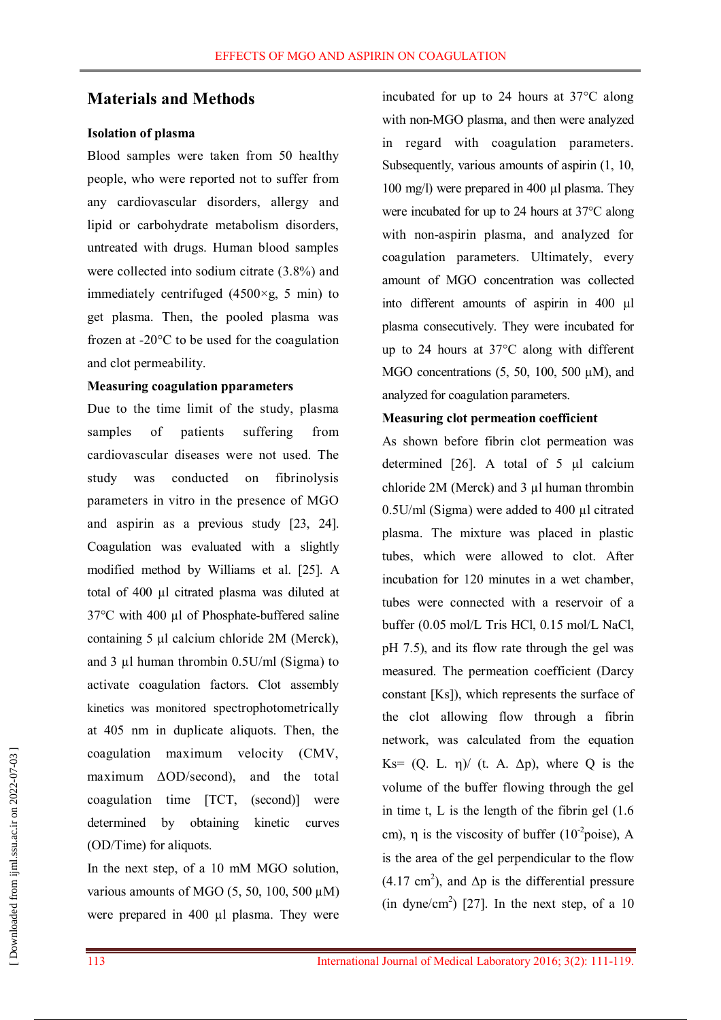### **Materials and Methods**

#### **Isolation of plasma**

Blood samples were taken from 50 healthy people, who were reported not to suffer from any cardiovascular disorders, allergy and lipid or carbohydrate metabolism disorders, untreated with drugs. Human blood samples were collected into sodium citrate (3.8%) and immediately centrifuged  $(4500 \times g, 5 \text{ min})$  to get plasma. Then, the pooled plasma was frozen at -20°C to be used for the coagulation and clot permeability.

#### **Measuring coagulation pparameters**

Due to the time limit of the study, plasma samples of patients suffering from cardiovascular diseases were not used. The study was conducted on fibrinolysis parameters in vitro in the presence of MGO and aspirin as a previous study [23, 24]. Coagulation was evaluated with a slightly modified method by Williams et al. [25]. A total of 400 µl citrated plasma was diluted at 37°C with 400 µl of Phosphate-buffered saline containing 5 µl calcium chloride 2M (Merck), and 3  $\mu$ l human thrombin 0.5U/ml (Sigma) to activate coagulation factors. Clot assembly kinetics was monitored spectrophotometrically at 405 nm in duplicate aliquots. Then, the coagulation maximum velocity (CMV, maximum ΔOD/second), and the total coagulation time [TCT, (second)] were determined by obtaining kinetic curves (OD/Time) for aliquots.

In the next step, of a 10 mM MGO solution, various amounts of MGO  $(5, 50, 100, 500 \mu M)$ were prepared in 400 µl plasma. They were incubated for up to 24 hours at 37°C along with non-MGO plasma, and then were analyzed in regard with coagulation parameters. Subsequently, various amounts of aspirin (1, 10, 100 mg/l) were prepared in 400 µl plasma. They were incubated for up to 24 hours at 37°C along with non-aspirin plasma, and analyzed for coagulation parameters. Ultimately, every amount of MGO concentration was collected into different amounts of aspirin in 400 µl plasma consecutively. They were incubated for up to 24 hours at 37°C along with different MGO concentrations (5, 50, 100, 500 µM), and analyzed for coagulation parameters.

#### **Measuring clot permeation coefficient**

As shown before fibrin clot permeation was determined [26]. A total of 5 µl calcium chloride 2M (Merck) and 3 ul human thrombin 0.5U/ml (Sigma) were added to 400 µl citrated plasma. The mixture was placed in plastic tubes, which were allowed to clot. After incubation for 120 minutes in a wet chamber, tubes were connected with a reservoir of a buffer (0.05 mol/L Tris HCl, 0.15 mol/L NaCl, pH 7.5), and its flow rate through the gel was measured. The permeation coefficient (Darcy constant [Ks]), which represents the surface of the clot allowing flow through a fibrin network, was calculated from the equation Ks=  $(Q, L, \eta)$  (t. A.  $\Delta p$ ), where Q is the volume of the buffer flowing through the gel in time t, L is the length of the fibrin gel (1.6 cm),  $\eta$  is the viscosity of buffer (10<sup>-2</sup>poise), A is the area of the gel perpendicular to the flow  $(4.17 \text{ cm}^2)$ , and  $\Delta p$  is the differential pressure  $(in dyne/cm<sup>2</sup>)$  [27]. In the next step, of a 10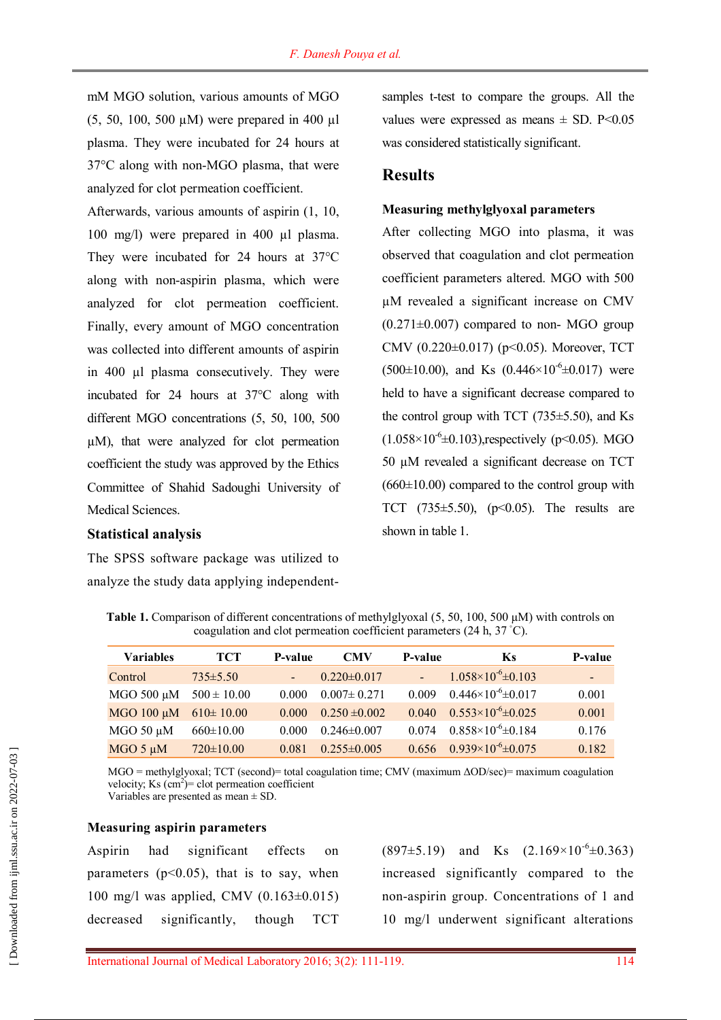mM MGO solution, various amounts of MGO (5, 50, 100, 500 µM) were prepared in 400 µl plasma. They were incubated for 24 hours at 37°C along with non-MGO plasma, that were analyzed for clot permeation coefficient.

Afterwards, various amounts of aspirin (1, 10, 100 mg/l) were prepared in 400 µl plasma. They were incubated for 24 hours at 37°C along with non-aspirin plasma, which were analyzed for clot permeation coefficient. Finally, every amount of MGO concentration was collected into different amounts of aspirin in 400 µl plasma consecutively. They were incubated for 24 hours at 37°C along with different MGO concentrations (5, 50, 100, 500 µM), that were analyzed for clot permeation coefficient the study was approved by the Ethics Committee of Shahid Sadoughi University of Medical Sciences.

#### **Statistical analysis**

The SPSS software package was utilized to analyze the study data applying independentsamples t-test to compare the groups. All the values were expressed as means  $\pm$  SD. P<0.05 was considered statistically significant.

### **Results**

#### **Measuring methylglyoxal parameters**

After collecting MGO into plasma, it was observed that coagulation and clot permeation coefficient parameters altered. MGO with 500 µM revealed a significant increase on CMV  $(0.271 \pm 0.007)$  compared to non-MGO group CMV (0.220±0.017) (p<0.05). Moreover, TCT  $(500\pm10.00)$ , and Ks  $(0.446\times10^{-6}\pm0.017)$  were held to have a significant decrease compared to the control group with TCT  $(735\pm5.50)$ , and Ks  $(1.058 \times 10^{-6} \pm 0.103)$ , respectively (p<0.05). MGO 50 µM revealed a significant decrease on TCT  $(660\pm10.00)$  compared to the control group with TCT  $(735\pm5.50)$ ,  $(p<0.05)$ . The results are shown in table 1.

**Table 1.** Comparison of different concentrations of methylglyoxal (5, 50, 100, 500 µM) with controls on coagulation and clot permeation coefficient parameters (24 h, 37 ◦C).

| <b>Variables</b>  | TCT             | P-value | <b>CMV</b>        | P-value | Ks                               | P-value |
|-------------------|-----------------|---------|-------------------|---------|----------------------------------|---------|
| Control           | $735 \pm 5.50$  |         | $0.220 \pm 0.017$ |         | $1.058\times10^{-6} \pm 0.103$   | ш,      |
| MGO 500 $\mu$ M   | $500 \pm 10.00$ | 0.000   | $0.007 \pm 0.271$ | 0.009   | $0.446 \times 10^{-6} \pm 0.017$ | 0.001   |
| $MGO$ 100 $\mu$ M | $610 \pm 10.00$ | 0.000   | $0.250 \pm 0.002$ | 0.040   | $0.553\times10^{-6} \pm 0.025$   | 0.001   |
| MGO 50 µM         | $660 \pm 10.00$ | 0.000   | $0.246 \pm 0.007$ | 0.074   | $0.858\times10^{-6}\pm0.184$     | 0.176   |
| $MGO 5 \mu M$     | $720 \pm 10.00$ | 0.081   | $0.255 \pm 0.005$ | 0.656   | $0.939\times10^{-6}\pm0.075$     | 0.182   |

MGO = methylglyoxal; TCT (second)= total coagulation time; CMV (maximum ΔOD/sec)= maximum coagulation velocity; Ks  $(cm^2)$ = clot permeation coefficient

Variables are presented as mean ± SD.

#### **Measuring aspirin parameters**

Aspirin had significant effects on parameters  $(p<0.05)$ , that is to say, when 100 mg/l was applied, CMV (0.163±0.015) decreased significantly, though TCT

 $(897±5.19)$  and Ks  $(2.169×10^{-6}±0.363)$ increased significantly compared to the non-aspirin group. Concentrations of 1 and 10 mg/l underwent significant alterations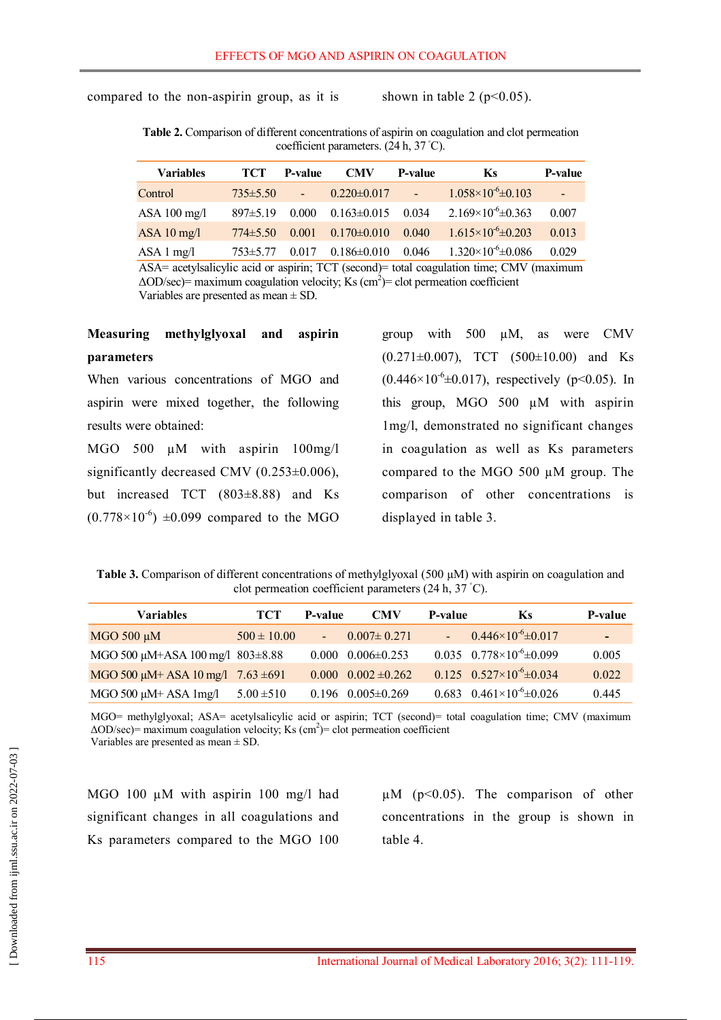compared to the non-aspirin group, as it is shown in table 2 ( $p<0.05$ ).

**Table 2.** Comparison of different concentrations of aspirin on coagulation and clot permeation coefficient parameters. (24 h, 37 ◦C).

| <b>Variables</b>      | TCT            | <b>P-value</b> | <b>CMV</b>        | <b>P-value</b>                        | <b>Ks</b>                    | P-value  |
|-----------------------|----------------|----------------|-------------------|---------------------------------------|------------------------------|----------|
| Control               | $735 \pm 5.50$ | $\sim$ $\sim$  | $0.220 \pm 0.017$ | $\mathcal{L} \rightarrow \mathcal{L}$ | $1.058\times10^{-6}$ ± 0.103 | $\omega$ |
| ASA $100$ mg/l        | 897±5.19       | 0.000          | $0.163 \pm 0.015$ | 0.034                                 | $2.169\times10^{-6}\pm0.363$ | 0.007    |
| ASA $10 \text{ mg/l}$ | $774\pm5.50$   | 0.001          | $0.170 \pm 0.010$ | 0.040                                 | $1.615\times10^{-6}$ ± 0.203 | 0.013    |
| $ASA1$ mg/l           | $753\pm5.77$   | 0.017          | $0.186 \pm 0.010$ | 0.046                                 | $1.320\times10^{-6}\pm0.086$ | 0.029    |

ASA= acetylsalicylic acid or aspirin; TCT (second)= total coagulation time; CMV (maximum  $\Delta$ OD/sec)= maximum coagulation velocity; Ks (cm<sup>2</sup>)= clot permeation coefficient Variables are presented as mean ± SD.

## **Measuring methylglyoxal and aspirin parameters**

When various concentrations of MGO and aspirin were mixed together, the following results were obtained:

MGO 500  $\mu$ M with aspirin 100mg/l significantly decreased CMV  $(0.253\pm0.006)$ , but increased TCT (803±8.88) and Ks  $(0.778 \times 10^{-6})$  ±0.099 compared to the MGO

group with 500 µM, as were CMV  $(0.271 \pm 0.007)$ , TCT  $(500 \pm 10.00)$  and Ks  $(0.446 \times 10^{-6} \pm 0.017)$ , respectively (p<0.05). In this group, MGO 500 µM with aspirin 1mg/l, demonstrated no significant changes in coagulation as well as Ks parameters compared to the MGO 500 µM group. The comparison of other concentrations is displayed in table 3.

**Table 3.** Comparison of different concentrations of methylglyoxal (500 µM) with aspirin on coagulation and clot permeation coefficient parameters (24 h, 37 ◦C).

| <b>Variables</b>                            | <b>TCT</b>      | P-value | <b>CMV</b>                    | P-value | <b>Ks</b>                                    | P-value |
|---------------------------------------------|-----------------|---------|-------------------------------|---------|----------------------------------------------|---------|
| MGO 500 µM                                  | $500 \pm 10.00$ |         | $0.007 \pm 0.271$             |         | $0.446 \times 10^{-6} \pm 0.017$             | Æ       |
| MGO 500 µM+ASA 100 mg/l 803±8.88            |                 | 0.000   | $0.006 \pm 0.253$             |         | $0.035 \quad 0.778 \times 10^{-6} \pm 0.099$ | 0.005   |
| MGO 500 $\mu$ M+ ASA 10 mg/l 7.63 $\pm$ 691 |                 |         | $0.000 \quad 0.002 \pm 0.262$ |         | $0.125 \quad 0.527 \times 10^{-6} \pm 0.034$ | 0.022   |
| $MGO 500 \mu M + ASA 1mg/l$                 | $5.00 \pm 510$  |         | $0.196$ $0.005 \pm 0.269$     |         | $0.683 \quad 0.461 \times 10^{-6} \pm 0.026$ | 0.445   |

MGO= methylglyoxal; ASA= acetylsalicylic acid or aspirin; TCT (second)= total coagulation time; CMV (maximum  $\Delta$ OD/sec) = maximum coagulation velocity; Ks (cm<sup>2</sup>) = clot permeation coefficient Variables are presented as mean ± SD.

MGO 100  $\mu$ M with aspirin 100 mg/l had significant changes in all coagulations and Ks parameters compared to the MGO 100  $\mu$ M (p<0.05). The comparison of other concentrations in the group is shown in table 4.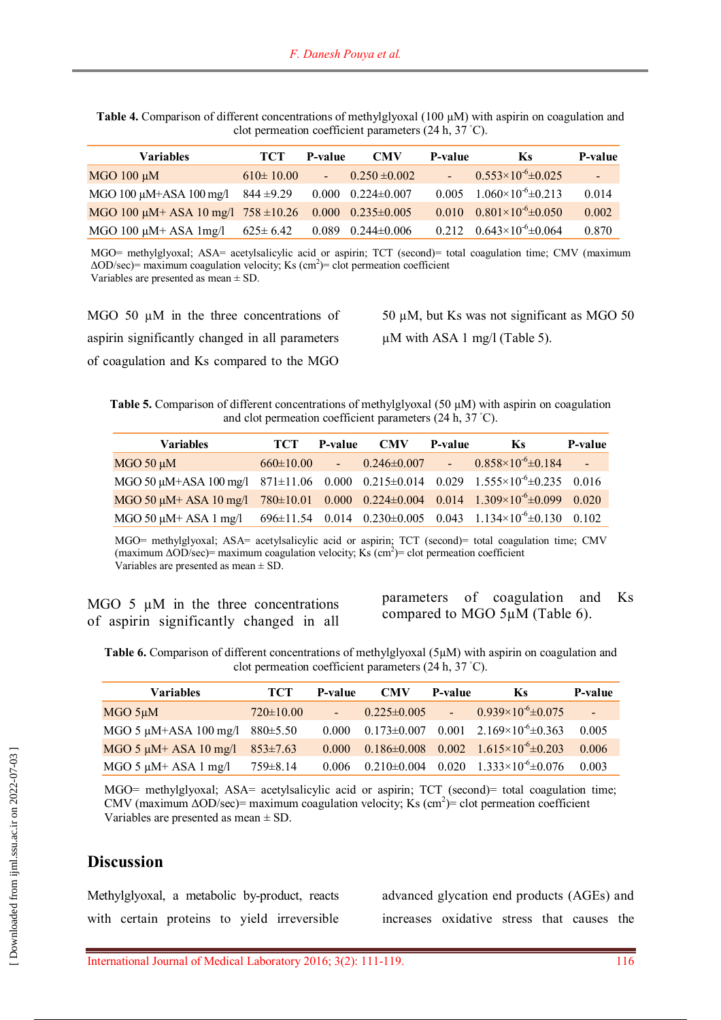| <b>Table 4.</b> Comparison of different concentrations of methylglyoxal $(100 \mu M)$ with aspirin on coagulation and |  |
|-----------------------------------------------------------------------------------------------------------------------|--|
| clot permeation coefficient parameters $(24 h, 37 \degree C)$ .                                                       |  |

| <b>Variables</b>                                                     | <b>TCT</b>      | <b>P-value</b>              | <b>CMV</b>                    | P-value | <b>Ks</b>                                    | <b>P-value</b> |
|----------------------------------------------------------------------|-----------------|-----------------------------|-------------------------------|---------|----------------------------------------------|----------------|
| $MGO$ 100 $\mu$ M                                                    | $610 \pm 10.00$ | $\mathcal{L}^{\mathcal{A}}$ | $0.250 \pm 0.002$             |         | $0.553\times10^{-6}\pm0.025$                 | $\Delta \phi$  |
| MGO 100 $\mu$ M+ASA 100 mg/l 844 ±9.29                               |                 |                             | $0.000 \quad 0.224 \pm 0.007$ | 0.005   | $1.060\times10^{-6}\pm0.213$                 | 0.014          |
| MGO 100 $\mu$ M+ ASA 10 mg/l 758 $\pm$ 10.26 0.000 0.235 $\pm$ 0.005 |                 |                             |                               |         | $0.010 \quad 0.801 \times 10^{-6} \pm 0.050$ | 0.002          |
| MGO 100 $\mu$ M+ ASA 1mg/l 625 $\pm$ 6.42                            |                 |                             | $0.089$ $0.244\pm0.006$       | 0.212   | $0.643\times10^{-6}\pm0.064$                 | 0.870          |

MGO= methylglyoxal; ASA= acetylsalicylic acid or aspirin; TCT (second)= total coagulation time; CMV (maximum  $\Delta$ OD/sec) = maximum coagulation velocity; Ks (cm<sup>2</sup>) = clot permeation coefficient Variables are presented as mean ± SD.

MGO 50  $\mu$ M in the three concentrations of aspirin significantly changed in all parameters of coagulation and Ks compared to the MGO

50 µM, but Ks was not significant as MGO 50

µM with ASA 1 mg/l (Table 5).

**Table 5.** Comparison of different concentrations of methylglyoxal (50 µM) with aspirin on coagulation and clot permeation coefficient parameters (24 h, 37 ◦C).

| <b>Variables</b>                                                                                  | <b>TCT</b>        | <b>P-value</b> | <b>CMV</b> | <b>P-value</b> | <b>Ks</b>                                            | P-value |
|---------------------------------------------------------------------------------------------------|-------------------|----------------|------------|----------------|------------------------------------------------------|---------|
| $MGO 50 \mu M$                                                                                    | $660 \pm 10.00$ - |                |            |                | $0.246 \pm 0.007$ - $0.858 \times 10^{-6} \pm 0.184$ |         |
| MGO 50 $\mu$ M+ASA 100 mg/l 871±11.06 0.000 0.215±0.014 0.029 1.555×10 <sup>-6</sup> ±0.235 0.016 |                   |                |            |                |                                                      |         |
| MGO 50 $\mu$ M+ ASA 10 mg/l 780±10.01 0.000 0.224±0.004 0.014 1.309×10 <sup>-6</sup> ±0.099 0.020 |                   |                |            |                |                                                      |         |
| MGO 50 $\mu$ M+ ASA 1 mg/l 696±11.54 0.014 0.230±0.005 0.043 1.134×10 <sup>-6</sup> ±0.130 0.102  |                   |                |            |                |                                                      |         |

MGO= methylglyoxal; ASA= acetylsalicylic acid or aspirin; TCT (second)= total coagulation time; CMV (maximum  $\Delta$ OD/sec)= maximum coagulation velocity; Ks (cm<sup>2</sup>)= clot permeation coefficient Variables are presented as mean ± SD.

|  |  |  |  | MGO $5 \mu M$ in the three concentrations |  |
|--|--|--|--|-------------------------------------------|--|
|  |  |  |  | of aspirin significantly changed in all   |  |

parameters of coagulation and Ks compared to MGO 5µM (Table 6).

**Table 6.** Comparison of different concentrations of methylglyoxal (5µM) with aspirin on coagulation and clot permeation coefficient parameters (24 h, 37 ◦C).

| <b>Variables</b>                          | <b>TCT</b>      | P-value            | <b>CMV</b>                    | P-value | Ks.                                                                | P-value |
|-------------------------------------------|-----------------|--------------------|-------------------------------|---------|--------------------------------------------------------------------|---------|
| $MGO$ 5µM                                 | $720 \pm 10.00$ | $\Delta \sim 10^4$ |                               |         | $0.225 \pm 0.005$ - $0.939 \times 10^{-6} \pm 0.075$               | L,      |
| MGO 5 $\mu$ M+ASA 100 mg/l 880 $\pm$ 5.50 |                 |                    | $0.000 \quad 0.173 \pm 0.007$ |         | $0.001$ $2.169 \times 10^{-6} \pm 0.363$                           | 0.005   |
| MGO 5 $\mu$ M+ ASA 10 mg/l 853±7.63       |                 |                    |                               |         | $0.000$ $0.186 \pm 0.008$ $0.002$ $1.615 \times 10^{-6} \pm 0.203$ | 0.006   |
| $MGO$ 5 $\mu$ M+ ASA 1 mg/l               | $759 \pm 8.14$  |                    |                               |         | $0.006$ $0.210\pm0.004$ $0.020$ $1.333\times10^{-6}\pm0.076$       | 0.003   |

MGO= methylglyoxal; ASA= acetylsalicylic acid or aspirin; TCT (second)= total coagulation time; CMV (maximum  $\Delta OD/sec$ ) = maximum coagulation velocity; Ks (cm<sup>2</sup>) = clot permeation coefficient Variables are presented as mean ± SD.

## **Discussion**

Methylglyoxal, a metabolic by-product, reacts with certain proteins to yield irreversible advanced glycation end products (AGEs) and increases oxidative stress that causes the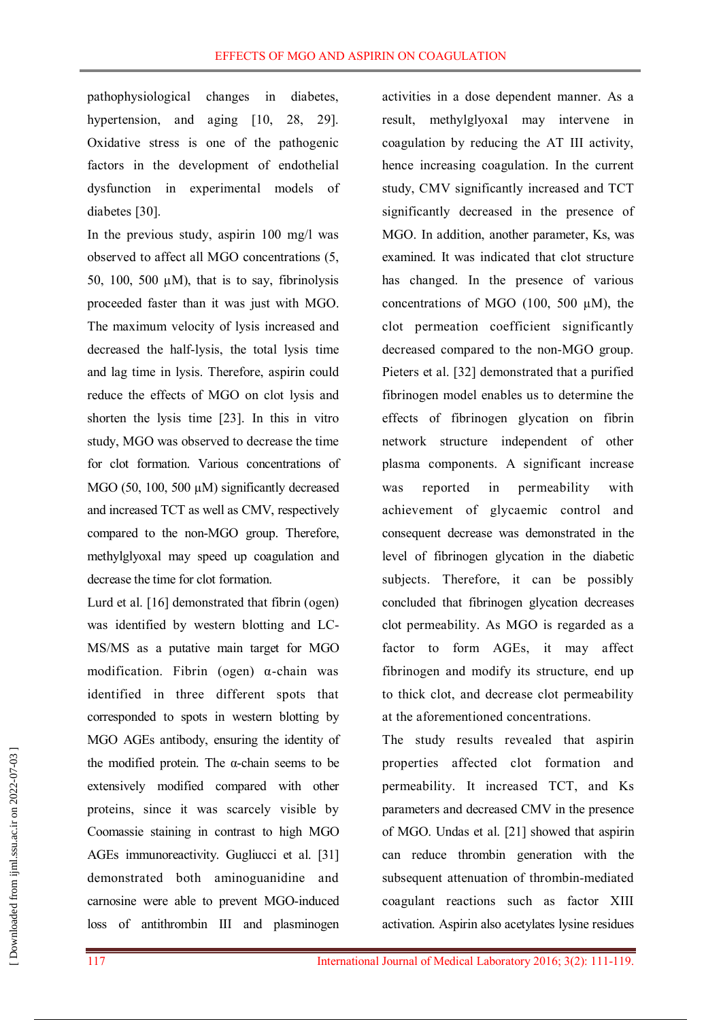pathophysiological changes in diabetes, hypertension, and aging [10, 28, 29]. Oxidative stress is one of the pathogenic factors in the development of endothelial dysfunction in experimental models of diabetes [30].

In the previous study, aspirin 100 mg/l was observed to affect all MGO concentrations (5, 50, 100, 500  $\mu$ M), that is to say, fibrinolysis proceeded faster than it was just with MGO. The maximum velocity of lysis increased and decreased the half-lysis, the total lysis time and lag time in lysis. Therefore, aspirin could reduce the effects of MGO on clot lysis and shorten the lysis time [23]. In this in vitro study, MGO was observed to decrease the time for clot formation. Various concentrations of MGO (50, 100, 500  $\mu$ M) significantly decreased and increased TCT as well as CMV, respectively compared to the non-MGO group. Therefore, methylglyoxal may speed up coagulation and decrease the time for clot formation.

Lurd et al. [16] demonstrated that fibrin (ogen) was identified by western blotting and LC-MS/MS as a putative main target for MGO modification. Fibrin (ogen)  $\alpha$ -chain was identified in three different spots that corresponded to spots in western blotting by MGO AGEs antibody, ensuring the identity of the modified protein. The  $\alpha$ -chain seems to be extensively modified compared with other proteins, since it was scarcely visible by Coomassie staining in contrast to high MGO AGEs immunoreactivity. Gugliucci et al. [31] demonstrated both aminoguanidine and carnosine were able to prevent MGO-induced loss of antithrombin III and plasminogen

activities in a dose dependent manner. As a result, methylglyoxal may intervene in coagulation by reducing the AT III activity, hence increasing coagulation. In the current study, CMV significantly increased and TCT significantly decreased in the presence of MGO. In addition, another parameter, Ks, was examined. It was indicated that clot structure has changed. In the presence of various concentrations of MGO (100, 500 µM), the clot permeation coefficient significantly decreased compared to the non-MGO group. Pieters et al. [32] demonstrated that a purified fibrinogen model enables us to determine the effects of fibrinogen glycation on fibrin network structure independent of other plasma components. A significant increase was reported in permeability with achievement of glycaemic control and consequent decrease was demonstrated in the level of fibrinogen glycation in the diabetic subjects. Therefore, it can be possibly concluded that fibrinogen glycation decreases clot permeability. As MGO is regarded as a factor to form AGEs, it may affect fibrinogen and modify its structure, end up to thick clot, and decrease clot permeability at the aforementioned concentrations.

The study results revealed that aspirin properties affected clot formation and permeability. It increased TCT, and Ks parameters and decreased CMV in the presence of MGO. Undas et al. [21] showed that aspirin can reduce thrombin generation with the subsequent attenuation of thrombin-mediated coagulant reactions such as factor XIII activation. Aspirin also acetylates lysine residues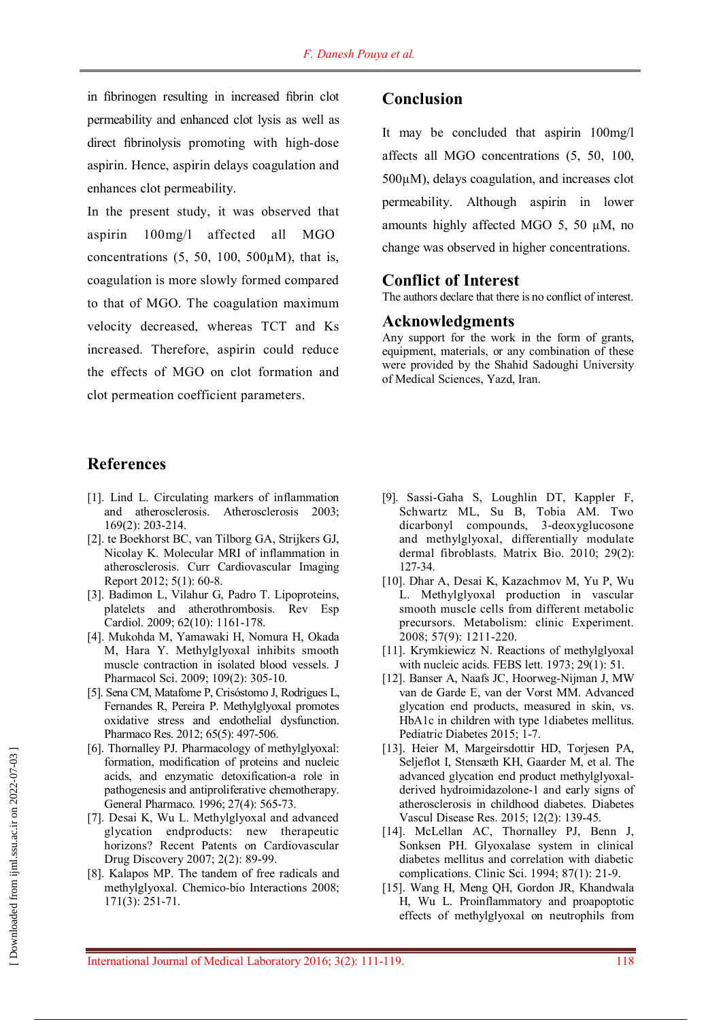in fibrinogen resulting in increased fibrin clot permeability and enhanced clot lysis as well as direct fibrinolysis promoting with high-dose aspirin. Hence, aspirin delays coagulation and enhances clot permeability.

In the present study, it was observed that aspirin 100mg/l affected all MGO concentrations  $(5, 50, 100, 500 \mu M)$ , that is, coagulation is more slowly formed compared to that of MGO. The coagulation maximum velocity decreased, whereas TCT and Ks increased. Therefore, aspirin could reduce the effects of MGO on clot formation and clot permeation coefficient parameters.

## **References**

- [1]. Lind L. Circulating markers of inflammation and atherosclerosis. Atherosclerosis 2003; 169(2): 203-214.
- [2]. te Boekhorst BC, van Tilborg GA, Strijkers GJ, Nicolay K. Molecular MRI of inflammation in atherosclerosis. Curr Cardiovascular Imaging Report 2012; 5(1): 60-8.
- [3]. Badimon L, Vilahur G, Padro T. Lipoproteins, platelets and atherothrombosis. Rev Esp Cardiol. 2009; 62(10): 1161-178.
- [4]. Mukohda M, Yamawaki H, Nomura H, Okada M, Hara Y. Methylglyoxal inhibits smooth muscle contraction in isolated blood vessels. J Pharmacol Sci. 2009; 109(2): 305-10.
- [5]. Sena CM, Matafome P, Crisóstomo J, Rodrigues L, Fernandes R, Pereira P. Methylglyoxal promotes oxidative stress and endothelial dysfunction. Pharmaco Res. 2012; 65(5): 497-506.
- [6]. Thornalley PJ. Pharmacology of methylglyoxal: formation, modification of proteins and nucleic acids, and enzymatic detoxification-a role in pathogenesis and antiproliferative chemotherapy. General Pharmaco. 1996; 27(4): 565-73.
- [7]. Desai K, Wu L. Methylglyoxal and advanced glycation endproducts: new therapeutic horizons? Recent Patents on Cardiovascular Drug Discovery 2007; 2(2): 89-99.
- [8]. Kalapos MP. The tandem of free radicals and methylglyoxal. Chemico-bio Interactions 2008; 171(3): 251-71.

## **Conclusion**

It may be concluded that aspirin 100mg/l affects all MGO concentrations (5, 50, 100, 500µM), delays coagulation, and increases clot permeability. Although aspirin in lower amounts highly affected MGO 5, 50 µM, no change was observed in higher concentrations.

#### **Conflict of Interest**

The authors declare that there is no conflict of interest.

#### **Acknowledgments**

Any support for the work in the form of grants, equipment, materials, or any combination of these were provided by the Shahid Sadoughi University of Medical Sciences, Yazd, Iran.

- [9]. Sassi-Gaha S, Loughlin DT, Kappler F, Schwartz ML, Su B, Tobia AM. Two dicarbonyl compounds, 3-deoxyglucosone and methylglyoxal, differentially modulate dermal fibroblasts. Matrix Bio. 2010; 29(2): 127-34.
- [10]. Dhar A, Desai K, Kazachmov M, Yu P, Wu L. Methylglyoxal production in vascular smooth muscle cells from different metabolic precursors. Metabolism: clinic Experiment. 2008; 57(9): 1211-220.
- [11]. Krymkiewicz N. Reactions of methylglyoxal with nucleic acids. FEBS lett. 1973; 29(1): 51.
- [12]. Banser A, Naafs JC, Hoorweg-Nijman J, MW van de Garde E, van der Vorst MM. Advanced glycation end products, measured in skin, vs. HbA1c in children with type 1diabetes mellitus. Pediatric Diabetes 2015; 1-7.
- [13]. Heier M, Margeirsdottir HD, Torjesen PA, Seljeflot I, Stensæth KH, Gaarder M, et al. The advanced glycation end product methylglyoxalderived hydroimidazolone-1 and early signs of atherosclerosis in childhood diabetes. Diabetes Vascul Disease Res. 2015; 12(2): 139-45.
- [14]. McLellan AC, Thornalley PJ, Benn J, Sonksen PH. Glyoxalase system in clinical diabetes mellitus and correlation with diabetic complications. Clinic Sci. 1994; 87(1): 21-9.
- [15]. Wang H, Meng QH, Gordon JR, Khandwala H, Wu L. Proinflammatory and proapoptotic effects of methylglyoxal on neutrophils from